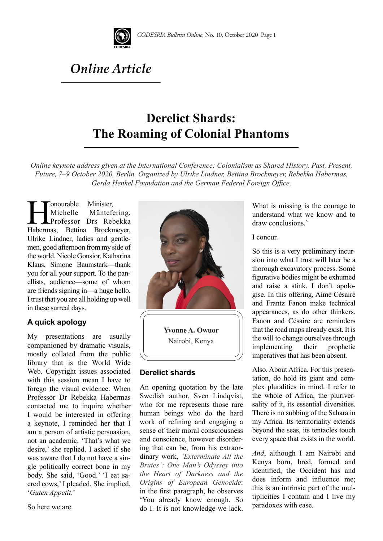

*Online Article* 

# **Derelict Shards: The Roaming of Colonial Phantoms**

*Online keynote address given at the International Conference: Colonialism as Shared History. Past, Present, Future, 7–9 October 2020, Berlin. Organized by Ulrike Lindner, Bettina Brockmeyer, Rebekka Habermas, Gerda Henkel Foundation and the German Federal Foreign Office.* 

Minister, Minister, Minister, Minister, Minister, Minister, Professor Drs Rebekka<br>Habermas, Bettina Brockmeyer, Michelle Müntefering, Professor Drs Rebekka Ulrike Lindner, ladies and gentlemen, good afternoon from my side of the world. Nicole Gonsior, Katharina Klaus, Simone Baumstark—thank you for all your support. To the panellists, audience—some of whom are friends signing in—a huge hello. I trust that you are all holding up well in these surreal days.

## **A quick apology**

My presentations are usually companioned by dramatic visuals, mostly collated from the public library that is the World Wide Web. Copyright issues associated with this session mean I have to forego the visual evidence. When Professor Dr Rebekka Habermas contacted me to inquire whether I would be interested in offering a keynote, I reminded her that I am a person of artistic persuasion, not an academic. 'That's what we desire,' she replied. I asked if she was aware that I do not have a single politically correct bone in my body. She said, 'Good.' 'I eat sacred cows,' I pleaded. She implied, '*Guten Appetit*.'

So here we are.



**Yvonne A. Owuor** Nairobi, Kenya

## **Derelict shards**

An opening quotation by the late Swedish author, Sven Lindqvist, who for me represents those rare human beings who do the hard work of refining and engaging a sense of their moral consciousness and conscience, however disordering that can be, from his extraordinary work, *'Exterminate All the Brutes': One Man's Odyssey into the Heart of Darkness and the Origins of European Genocide*: in the first paragraph, he observes 'You already know enough. So do I. It is not knowledge we lack. What is missing is the courage to understand what we know and to draw conclusions.'

I concur.

So this is a very preliminary incursion into what I trust will later be a thorough excavatory process. Some figurative bodies might be exhumed and raise a stink. I don't apologise. In this offering, Aimé Césaire and Frantz Fanon make technical appearances, as do other thinkers. Fanon and Césaire are reminders that the road maps already exist. It is the will to change ourselves through implementing their prophetic imperatives that has been absent*.*

Also. About Africa. For this presentation, do hold its giant and complex pluralities in mind. I refer to the whole of Africa, the pluriversality of it, its essential diversities. There is no subbing of the Sahara in my Africa. Its territoriality extends beyond the seas, its tentacles touch every space that exists in the world.

*And*, although I am Nairobi and Kenya born, bred, formed and identified, the Occident has and does inform and influence me; this is an intrinsic part of the multiplicities I contain and I live my paradoxes with ease.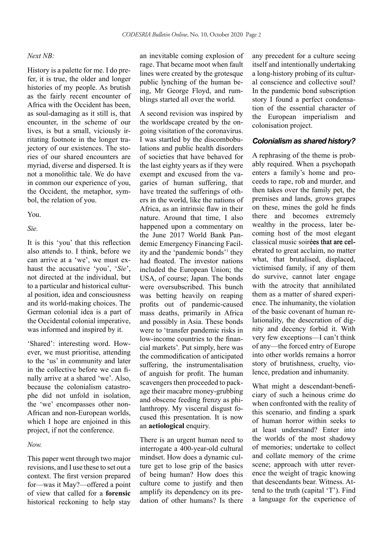#### *Next NB:*

History is a palette for me. I do prefer, it is true, the older and longer histories of my people. As brutish as the fairly recent encounter of Africa with the Occident has been, as soul-damaging as it still is, that encounter, in the scheme of our lives, is but a small, viciously irritating footnote in the longer trajectory of our existences. The stories of our shared encounters are myriad, diverse and dispersed. It is not a monolithic tale. We do have in common our experience of you, the Occident, the metaphor, symbol, the relation of you.

#### You.

*Sie.*

It is this 'you' that this reflection also attends to. I think, before we can arrive at a 'we', we must exhaust the accusative 'you', '*Sie*', not directed at the individual, but to a particular and historical cultural position, idea and consciousness and its world-making choices. The German colonial idea is a part of the Occidental colonial imperative, was informed and inspired by it.

'Shared': interesting word. However, we must prioritise, attending to the 'us' in community and later in the collective before we can finally arrive at a shared 'we'. Also, because the colonialism catastrophe did not unfold in isolation, the 'we' encompasses other non-African and non-European worlds, which I hope are enjoined in this project, if not the conference.

#### *Now.*

This paper went through two major revisions, and I use these to set out a context. The first version prepared for—was it May?—offered a point of view that called for a **forensic**  historical reckoning to help stay an inevitable coming explosion of rage. That became moot when fault lines were created by the grotesque public lynching of the human being, Mr George Floyd, and rumblings started all over the world.

A second revision was inspired by the worldscape created by the ongoing visitation of the coronavirus. I was startled by the discombobulations and public health disorders of societies that have behaved for the last eighty years as if they were exempt and excused from the vagaries of human suffering, that have treated the sufferings of others in the world, like the nations of Africa, as an intrinsic flaw in their nature. Around that time, I also happened upon a commentary on the June 2017 World Bank Pandemic Emergency Financing Facility and the 'pandemic bonds'1 they had floated. The investor nations included the European Union; the USA, of course; Japan. The bonds were oversubscribed. This bunch was betting heavily on reaping profits out of pandemic-caused mass deaths, primarily in Africa and possibly in Asia. These bonds were to 'transfer pandemic risks in low-income countries to the financial markets'*.* Put simply, here was the commodification of anticipated suffering, the instrumentalisation of anguish for profit. The human scavengers then proceeded to package their macabre money-grubbing and obscene feeding frenzy as philanthropy. My visceral disgust focused this presentation. It is now an **aetiological** enquiry.

There is an urgent human need to interrogate a 400-year-old cultural mindset. How does a dynamic culture get to lose grip of the basics of being human? How does this culture come to justify and then amplify its dependency on its predation of other humans? Is there any precedent for a culture seeing itself and intentionally undertaking a long-history probing of its cultural conscience and collective soul? In the pandemic bond subscription story I found a perfect condensation of the essential character of the European imperialism and colonisation project.

## *Colonialism as shared history?*

A rephrasing of the theme is probably required. When a psychopath enters a family's home and proceeds to rape, rob and murder, and then takes over the family pet, the premises and lands, grows grapes on these, mines the gold he finds there and becomes extremely wealthy in the process, later becoming host of the most elegant classical music soirées that are celebrated to great acclaim, no matter what, that brutalised, displaced, victimised family, if any of them do survive, cannot later engage with the atrocity that annihilated them as a matter of shared experience. The inhumanity, the violation of the basic covenant of human relationality, the desecration of dignity and decency forbid it. With very few exceptions—I can't think of any—the forced entry of Europe into other worlds remains a horror story of brutishness, cruelty, violence, predation and inhumanity.

What might a descendant-beneficiary of such a heinous crime do when confronted with the reality of this scenario, and finding a spark of human horror within seeks to at least understand? Enter into the worlds of the most shadowy of memories; undertake to collect and collate memory of the crime scene; approach with utter reverence the weight of tragic knowing that descendants bear. Witness. Attend to the truth (capital 'T'). Find a language for the experience of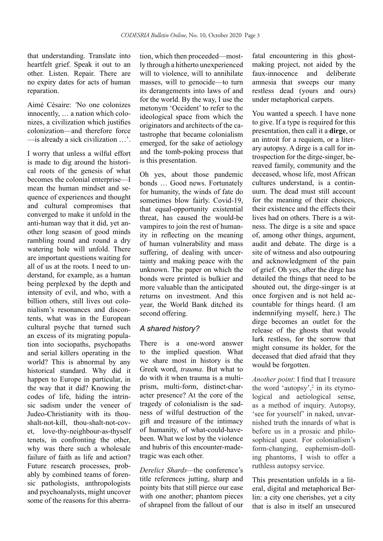that understanding. Translate into heartfelt grief. Speak it out to an other. Listen. Repair. There are no expiry dates for acts of human reparation.

Aimé Césaire: *'*No one colonizes innocently, … a nation which colonizes, a civilization which justifies colonization—and therefore force —is already a sick civilization …'.

I worry that unless a wilful effort is made to dig around the historical roots of the genesis of what becomes the colonial enterprise—I mean the human mindset and sequence of experiences and thought and cultural compromises that converged to make it unfold in the anti-human way that it did, yet another long season of good minds rambling round and round a dry watering hole will unfold. There are important questions waiting for all of us at the roots. I need to understand, for example, as a human being perplexed by the depth and intensity of evil, and who, with a billion others, still lives out colonialism's resonances and discontents, what was in the European cultural psyche that turned such an excess of its migrating population into sociopaths, psychopaths and serial killers operating in the world? This is abnormal by any historical standard. Why did it happen to Europe in particular, in the way that it did? Knowing the codes of life, hiding the intrinsic sadism under the veneer of Judeo-Christianity with its thoushalt-not-kill, thou-shalt-not-covet, love-thy-neighbour-as-thyself tenets, in confronting the other, why was there such a wholesale failure of faith as life and action? Future research processes, probably by combined teams of forensic pathologists, anthropologists and psychoanalysts, might uncover some of the reasons for this aberration, which then proceeded—mostly through a hitherto unexperienced will to violence, will to annihilate masses, will to genocide—to turn its derangements into laws of and for the world. By the way, I use the metonym 'Occident' to refer to the ideological space from which the originators and architects of the catastrophe that became colonialism emerged, for the sake of aetiology and the tomb-poking process that is this presentation.

Oh yes, about those pandemic bonds … Good news. Fortunately for humanity, the winds of fate do sometimes blow fairly. Covid-19, that equal-opportunity existential threat, has caused the would-be vampires to join the rest of humanity in reflecting on the meaning of human vulnerability and mass suffering, of dealing with uncertainty and making peace with the unknown. The paper on which the bonds were printed is bulkier and more valuable than the anticipated returns on investment. And this year, the World Bank ditched its second offering.

## *A shared history?*

There is a one-word answer to the implied question. What we share most in history is the Greek word, *trauma*. But what to do with it when trauma is a multiprism, multi-form, distinct-character presence? At the core of the tragedy of colonialism is the sadness of wilful destruction of the gift and treasure of the intimacy of humanity, of what-could-havebeen. What we lost by the violence and hubris of this encounter-madetragic was each other.

*Derelict Shards—*the conference's title references jutting, sharp and pointy bits that still pierce our ease with one another; phantom pieces of shrapnel from the fallout of our fatal encountering in this ghostmaking project, not aided by the faux-innocence and deliberate amnesia that sweeps our many restless dead (yours and ours) under metaphorical carpets.

You wanted a speech. I have none to give. If a type is required for this presentation, then call it a **dirge**, or an introit for a requiem, or a literary autopsy. A dirge is a call for introspection for the dirge-singer, bereaved family, community and the deceased, whose life, most African cultures understand, is a continuum. The dead must still account for the meaning of their choices, their existence and the effects their lives had on others. There is a witness. The dirge is a site and space of, among other things, argument, audit and debate. The dirge is a site of witness and also outpouring and acknowledgment of the pain of grief. Oh yes, after the dirge has detailed the things that need to be shouted out, the dirge-singer is at once forgiven and is not held accountable for things heard. (I am indemnifying myself, here.) The dirge becomes an outlet for the release of the ghosts that would lurk restless, for the sorrow that might consume its holder, for the deceased that died afraid that they would be forgotten.

*Another point*: I find that I treasure the word 'autopsy',<sup>2</sup> in its etymological and aetiological sense, as a method of inquiry. Autopsy, 'see for yourself' in naked, unvarnished truth the innards of what is before us in a prosaic and philosophical quest. For colonialism's form-changing, euphemism-dolling phantoms, I wish to offer a ruthless autopsy service.

This presentation unfolds in a literal, digital and metaphorical Berlin: a city one cherishes, yet a city that is also in itself an unsecured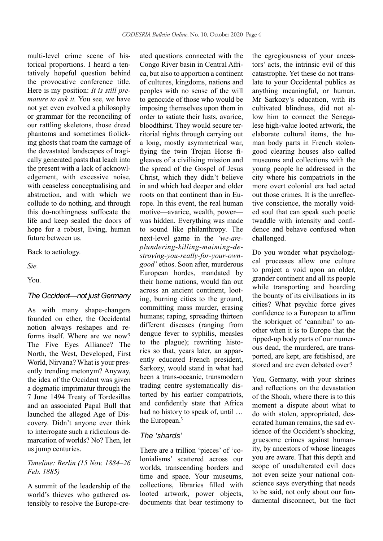multi-level crime scene of historical proportions. I heard a tentatively hopeful question behind the provocative conference title. Here is my position: *It is still premature to ask it.* You see, we have not yet even evolved a philosophy or grammar for the reconciling of our rattling skeletons, those dread phantoms and sometimes frolicking ghosts that roam the carnage of the devastated landscapes of tragically generated pasts that leach into the present with a lack of acknowledgement, with excessive noise, with ceaseless conceptualising and abstraction, and with which we collude to do nothing, and through this do-nothingness suffocate the life and keep sealed the doors of hope for a robust, living, human future between us.

Back to aetiology.

*Sie.*

You.

#### *The Occident—not just Germany*

As with many shape-changers founded on ether, the Occidental notion always reshapes and reforms itself. Where are we now? The Five Eyes Alliance? The North, the West, Developed, First World, Nirvana? What is your presently trending metonym? Anyway, the idea of the Occident was given a dogmatic imprimatur through the 7 June 1494 Treaty of Tordesillas and an associated Papal Bull that launched the alleged Age of Discovery. Didn't anyone ever think to interrogate such a ridiculous demarcation of worlds? No? Then, let us jump centuries.

## *Timeline: Berlin (15 Nov. 1884–26 Feb. 1885)*

A summit of the leadership of the world's thieves who gathered ostensibly to resolve the Europe-cre-

ated questions connected with the Congo River basin in Central Africa, but also to apportion a continent of cultures, kingdoms, nations and peoples with no sense of the will to genocide of those who would be imposing themselves upon them in order to satiate their lusts, avarice, bloodthirst. They would secure territorial rights through carrying out a long, mostly asymmetrical war, flying the twin Trojan Horse figleaves of a civilising mission and the spread of the Gospel of Jesus Christ, which they didn't believe in and which had deeper and older roots on that continent than in Europe. In this event, the real human motive—avarice, wealth, power was hidden. Everything was made to sound like philanthropy. The next-level game in the *'we-areplundering-killing-maiming-destroying-you-really-for-your-owngood'* ethos. Soon after, murderous European hordes, mandated by their home nations, would fan out across an ancient continent, looting, burning cities to the ground, committing mass murder, erasing humans; raping, spreading thirteen different diseases (ranging from dengue fever to syphilis, measles to the plague); rewriting histories so that, years later, an apparently educated French president, Sarkozy, would stand in what had been a trans-oceanic, transmodern trading centre systematically distorted by his earlier compatriots, and confidently state that Africa had no history to speak of, until … the European.3

## *The 'shards'*

There are a trillion 'pieces' of 'colonialisms' scattered across our worlds, transcending borders and time and space. Your museums, collections, libraries filled with looted artwork, power objects, documents that bear testimony to the egregiousness of your ancestors' acts, the intrinsic evil of this catastrophe. Yet these do not translate to your Occidental publics as anything meaningful, or human. Mr Sarkozy's education, with its cultivated blindness, did not allow him to connect the Senegalese high-value looted artwork, the elaborate cultural items, the human body parts in French stolengood clearing houses also called museums and collections with the young people he addressed in the city where his compatriots in the more overt colonial era had acted out those crimes. It is the unreflective conscience, the morally voided soul that can speak such poetic twaddle with intensity and confidence and behave confused when challenged.

Do you wonder what psychological processes allow one culture to project a void upon an older, grander continent and all its people while transporting and hoarding the bounty of its civilisations in its cities? What psychic force gives confidence to a European to affirm the sobriquet of 'cannibal' to another when it is to Europe that the ripped-up body parts of our numerous dead, the murdered, are transported, are kept, are fetishised, are stored and are even debated over?

You, Germany, with your shrines and reflections on the devastation of the Shoah, where there is to this moment a dispute about what to do with stolen, appropriated, desecrated human remains, the sad evidence of the Occident's shocking, gruesome crimes against humanity, by ancestors of whose lineages you are aware. That this depth and scope of unadulterated evil does not even seize your national conscience says everything that needs to be said, not only about our fundamental disconnect, but the fact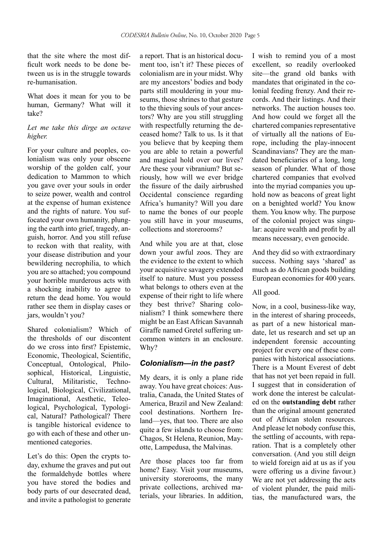that the site where the most difficult work needs to be done between us is in the struggle towards re-humanisation.

What does it mean for you to be human, Germany? What will it take?

## *Let me take this dirge an octave higher.*

For your culture and peoples, colonialism was only your obscene worship of the golden calf, your dedication to Mammon to which you gave over your souls in order to seize power, wealth and control at the expense of human existence and the rights of nature. You suffocated your own humanity, plunging the earth into grief, tragedy, anguish, horror. And you still refuse to reckon with that reality, with your disease distribution and your bewildering necrophilia, to which you are so attached; you compound your horrible murderous acts with a shocking inability to agree to return the dead home. You would rather see them in display cases or jars, wouldn't you?

Shared colonialism? Which of the thresholds of our discontent do we cross into first? Epistemic, Economic, Theological, Scientific, Conceptual, Ontological, Philosophical, Historical, Linguistic, Cultural, Militaristic, Technological, Biological, Civilizational, Imaginational, Aesthetic, Teleological, Psychological, Typological, Natural? Pathological? There is tangible historical evidence to go with each of these and other unmentioned categories.

Let's do this: Open the crypts today, exhume the graves and put out the formaldehyde bottles where you have stored the bodies and body parts of our desecrated dead, and invite a pathologist to generate

a report. That is an historical document too, isn't it? These pieces of colonialism are in your midst. Why are my ancestors' bodies and body parts still mouldering in your museums, those shrines to that gesture to the thieving souls of your ancestors? Why are you still struggling with respectfully returning the deceased home? Talk to us. Is it that you believe that by keeping them you are able to retain a powerful and magical hold over our lives? Are these your vibranium? But seriously, how will we ever bridge the fissure of the daily airbrushed Occidental conscience regarding Africa's humanity? Will you dare to name the bones of our people you still have in your museums, collections and storerooms?

And while you are at that, close down your awful zoos. They are the evidence to the extent to which your acquisitive savagery extended itself to nature. Must you possess what belongs to others even at the expense of their right to life where they best thrive? Sharing colonialism? I think somewhere there might be an East African Savannah Giraffe named Gretel suffering uncommon winters in an enclosure. Why?

# *Colonialism—in the past?*

My dears, it is only a plane ride away. You have great choices: Australia, Canada, the United States of America, Brazil and New Zealand: cool destinations. Northern Ireland—yes, that too. There are also quite a few islands to choose from: Chagos, St Helena, Reunion, Mayotte, Lampedusa, the Malvinas.

Are those places too far from home? Easy. Visit your museums, university storerooms, the many private collections, archived materials, your libraries. In addition, I wish to remind you of a most excellent, so readily overlooked site—the grand old banks with mandates that originated in the colonial feeding frenzy. And their records. And their listings. And their networks. The auction houses too. And how could we forget all the chartered companies representative of virtually all the nations of Europe, including the play-innocent Scandinavians? They are the mandated beneficiaries of a long, long season of plunder. What of those chartered companies that evolved into the myriad companies you uphold now as beacons of great light on a benighted world? You know them. You know why. The purpose of the colonial project was singular: acquire wealth and profit by all means necessary, even genocide.

And they did so with extraordinary success. Nothing says 'shared' as much as do African goods building European economies for 400 years.

## All good.

Now, in a cool, business-like way, in the interest of sharing proceeds, as part of a new historical mandate, let us research and set up an independent forensic accounting project for every one of these companies with historical associations. There is a Mount Everest of debt that has not yet been repaid in full. I suggest that in consideration of work done the interest be calculated on the **outstanding debt** rather than the original amount generated out of African stolen resources. And please let nobody confuse this, the settling of accounts, with reparation. That is a completely other conversation. (And you still deign to wield foreign aid at us as if you were offering us a divine favour.) We are not yet addressing the acts of violent plunder, the paid militias, the manufactured wars, the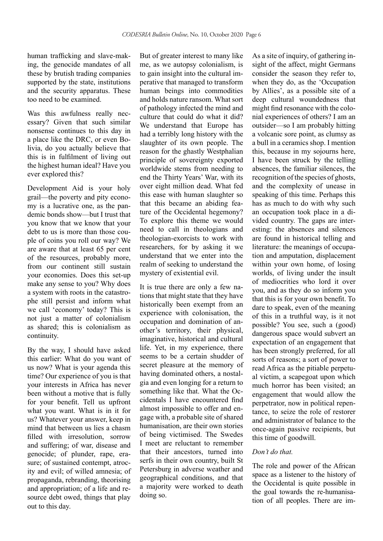human trafficking and slave-making, the genocide mandates of all these by brutish trading companies supported by the state, institutions and the security apparatus. These too need to be examined.

Was this awfulness really necessary? Given that such similar nonsense continues to this day in a place like the DRC, or even Bolivia, do you actually believe that this is in fulfilment of living out the highest human ideal? Have you ever explored this?

Development Aid is your holy grail—the poverty and pity economy is a lucrative one, as the pandemic bonds show—but I trust that you know that we know that your debt to us is more than those couple of coins you roll our way? We are aware that at least 65 per cent of the resources, probably more, from our continent still sustain your economies. Does this set-up make any sense to you? Why does a system with roots in the catastrophe still persist and inform what we call 'economy' today? This is not just a matter of colonialism as shared; this is colonialism as continuity.

By the way, I should have asked this earlier: What do you want of us now? What is your agenda this time? Our experience of you is that your interests in Africa has never been without a motive that is fully for your benefit. Tell us upfront what you want. What is in it for us? Whatever your answer, keep in mind that between us lies a chasm filled with irresolution, sorrow and suffering; of war, disease and genocide; of plunder, rape, erasure; of sustained contempt, atrocity and evil; of willed amnesia; of propaganda, rebranding, theorising and appropriation; of a life and resource debt owed, things that play out to this day.

But of greater interest to many like me, as we autopsy colonialism, is to gain insight into the cultural imperative that managed to transform human beings into commodities and holds nature ransom. What sort of pathology infected the mind and culture that could do what it did? We understand that Europe has had a terribly long history with the slaughter of its own people. The reason for the ghastly Westphalian principle of sovereignty exported worldwide stems from needing to end the Thirty Years' War, with its over eight million dead. What fed this ease with human slaughter so that this became an abiding feature of the Occidental hegemony? To explore this theme we would need to call in theologians and theologian-exorcists to work with researchers, for by asking it we understand that we enter into the realm of seeking to understand the mystery of existential evil.

It is true there are only a few nations that might state that they have historically been exempt from an experience with colonisation, the occupation and domination of another's territory, their physical, imaginative, historical and cultural life. Yet, in my experience, there seems to be a certain shudder of secret pleasure at the memory of having dominated others, a nostalgia and even longing for a return to something like that. What the Occidentals I have encountered find almost impossible to offer and engage with, a probable site of shared humanisation, are their own stories of being victimised. The Swedes I meet are reluctant to remember that their ancestors, turned into serfs in their own country, built St Petersburg in adverse weather and geographical conditions, and that a majority were worked to death doing so.

As a site of inquiry, of gathering insight of the affect, might Germans consider the season they refer to, when they do, as the 'Occupation by Allies', as a possible site of a deep cultural woundedness that might find resonance with the colonial experiences of others? I am an outsider—so I am probably hitting a volcanic sore point, as clumsy as a bull in a ceramics shop. I mention this, because in my sojourns here, I have been struck by the telling absences, the familiar silences, the recognition of the species of ghosts, and the complexity of unease in speaking of this time. Perhaps this has as much to do with why such an occupation took place in a divided country. The gaps are interesting: the absences and silences are found in historical telling and literature: the meanings of occupation and amputation, displacement within your own home, of losing worlds, of living under the insult of mediocrities who lord it over you, and as they do so inform you that this is for your own benefit. To dare to speak, even of the meaning of this in a truthful way, is it not possible? You see, such a (good) dangerous space would subvert an expectation of an engagement that has been strongly preferred, for all sorts of reasons; a sort of power to read Africa as the pitiable perpetual victim, a scapegoat upon which much horror has been visited; an engagement that would allow the perpetrator, now in political repentance, to seize the role of restorer and administrator of balance to the once-again passive recipients, but this time of goodwill.

## *Don't do that.*

The role and power of the African space as a listener to the history of the Occidental is quite possible in the goal towards the re-humanisation of all peoples. There are im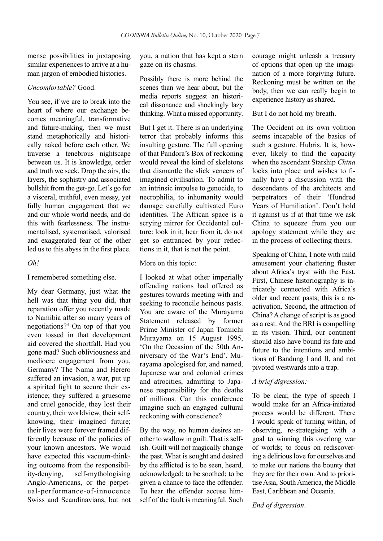mense possibilities in juxtaposing similar experiences to arrive at a human jargon of embodied histories.

#### *Uncomfortable?* Good.

You see, if we are to break into the heart of where our exchange becomes meaningful, transformative and future-making, then we must stand metaphorically and historically naked before each other. We traverse a tenebrous nightscape between us. It is knowledge, order and truth we seek. Drop the airs, the layers, the sophistry and associated bullshit from the get-go. Let's go for a visceral, truthful, even messy, yet fully human engagement that we and our whole world needs, and do this with fearlessness. The instrumentalised, systematised, valorised and exaggerated fear of the other led us to this abyss in the first place.

#### *Oh!*

I remembered something else.

My dear Germany, just what the hell was that thing you did, that reparation offer you recently made to Namibia after so many years of negotiations?4 On top of that you even tossed in that development aid covered the shortfall. Had you gone mad? Such obliviousness and mediocre engagement from you, Germany? The Nama and Herero suffered an invasion, a war, put up a spirited fight to secure their existence; they suffered a gruesome and cruel genocide, they lost their country, their worldview, their selfknowing, their imagined future; their lives were forever framed differently because of the policies of your known ancestors. We would have expected this vacuum-thinking outcome from the responsibility-denying, self-mythologising Anglo-Americans, or the perpetual-performance-of-innocence Swiss and Scandinavians, but not

you, a nation that has kept a stern gaze on its chasms.

Possibly there is more behind the scenes than we hear about, but the media reports suggest an historical dissonance and shockingly lazy thinking. What a missed opportunity.

But I get it. There is an underlying terror that probably informs this insulting gesture. The full opening of that Pandora's Box of reckoning would reveal the kind of skeletons that dismantle the slick veneers of imagined civilisation. To admit to an intrinsic impulse to genocide, to necrophilia, to inhumanity would damage carefully cultivated Euro identities. The African space is a scrying mirror for Occidental culture: look in it, hear from it, do not get so entranced by your reflections in it, that is not the point.

More on this topic:

I looked at what other imperially offending nations had offered as gestures towards meeting with and seeking to reconcile heinous pasts. You are aware of the Murayama Statement released by former Prime Minister of Japan Tomiichi Murayama on 15 August 1995, 'On the Occasion of the 50th Anniversary of the War's End'. Murayama apologised for, and named, Japanese war and colonial crimes and atrocities, admitting to Japanese responsibility for the deaths of millions. Can this conference imagine such an engaged cultural reckoning with conscience?

By the way, no human desires another to wallow in guilt. That is selfish. Guilt will not magically change the past. What is sought and desired by the afflicted is to be seen, heard, acknowledged; to be soothed; to be given a chance to face the offender. To hear the offender accuse himself of the fault is meaningful. Such courage might unleash a treasury of options that open up the imagination of a more forgiving future. Reckoning must be written on the body, then we can really begin to experience history as shared.

But I do not hold my breath.

The Occident on its own volition seems incapable of the basics of such a gesture. Hubris. It is, however, likely to find the capacity when the ascendant Starship *China* locks into place and wishes to finally have a discussion with the descendants of the architects and perpetrators of their 'Hundred Years of Humiliation'. Don't hold it against us if at that time we ask China to squeeze from you our apology statement while they are in the process of collecting theirs.

Speaking of China, I note with mild amusement your chattering fluster about Africa's tryst with the East. First, Chinese historiography is intricately connected with Africa's older and recent pasts; this is a reactivation. Second, the attraction of China? A change of script is as good as a rest. And the BRI is compelling in its vision. Third, our continent should also have bound its fate and future to the intentions and ambitions of Bandung I and II, and not pivoted westwards into a trap.

#### *A brief digression:*

To be clear, the type of speech I would make for an Africa-initiated process would be different. There I would speak of turning within, of observing, re-strategising with a goal to winning this overlong war of worlds; to focus on rediscovering a delirious love for ourselves and to make our nations the bounty that they are for their own. And to prioritise Asia, South America, the Middle East, Caribbean and Oceania.

*End of digression*.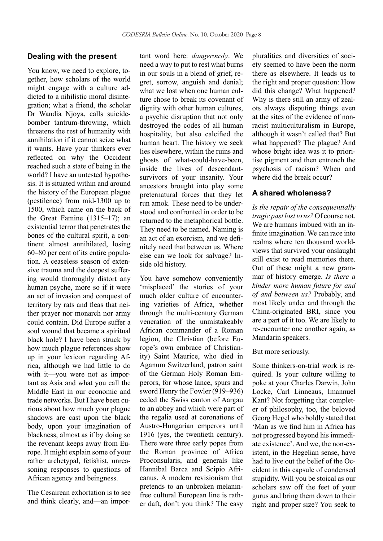## **Dealing with the present**

You know, we need to explore, together, how scholars of the world might engage with a culture addicted to a nihilistic moral disintegration; what a friend, the scholar Dr Wandia Njoya, calls suicidebomber tantrum-throwing, which threatens the rest of humanity with annihilation if it cannot seize what it wants. Have your thinkers ever reflected on why the Occident reached such a state of being in the world? I have an untested hypothesis. It is situated within and around the history of the European plague (pestilence) from mid-1300 up to 1500, which came on the back of the Great Famine (1315–17); an existential terror that penetrates the bones of the cultural spirit, a continent almost annihilated, losing 60–80 per cent of its entire population. A ceaseless season of extensive trauma and the deepest suffering would thoroughly distort any human psyche, more so if it were an act of invasion and conquest of territory by rats and fleas that neither prayer nor monarch nor army could contain. Did Europe suffer a soul wound that became a spiritual black hole? I have been struck by how much plague references show up in your lexicon regarding Africa, although we had little to do with it—you were not as important as Asia and what you call the Middle East in our economic and trade networks. But I have been curious about how much your plague shadows are cast upon the black body, upon your imagination of blackness, almost as if by doing so the revenant keeps away from Europe. It might explain some of your rather archetypal, fetishist, unreasoning responses to questions of African agency and beingness.

The Cesairean exhortation is to see and think clearly, and—an impor-

tant word here: *dangerously*. We need a way to put to rest what burns in our souls in a blend of grief, regret, sorrow, anguish and denial; what we lost when one human culture chose to break its covenant of dignity with other human cultures, a psychic disruption that not only destroyed the codes of all human hospitality, but also calcified the human heart. The history we seek lies elsewhere, within the ruins and ghosts of what-could-have-been, inside the lives of descendantsurvivors of your insanity. Your ancestors brought into play some preternatural forces that they let run amok. These need to be understood and confronted in order to be returned to the metaphorical bottle. They need to be named. Naming is an act of an exorcism, and we definitely need that between us. Where else can we look for salvage? Inside old history.

You have somehow conveniently 'misplaced' the stories of your much older culture of encountering varieties of Africa, whether through the multi-century German veneration of the unmistakeably African commander of a Roman legion, the Christian (before Europe's own embrace of Christianity) Saint Maurice, who died in Aganum Switzerland, patron saint of the German Holy Roman Emperors, for whose lance, spurs and sword Henry the Fowler (919–936) ceded the Swiss canton of Aargau to an abbey and which were part of the regalia used at coronations of Austro-Hungarian emperors until 1916 (yes, the twentieth century). There were three early popes from the Roman province of Africa Proconsularis, and generals like Hannibal Barca and Scipio Africanus. A modern revisionism that pretends to an unbroken melaninfree cultural European line is rather daft, don't you think? The easy

pluralities and diversities of society seemed to have been the norm there as elsewhere. It leads us to the right and proper question: How did this change? What happened? Why is there still an army of zealots always disputing things even at the sites of the evidence of nonracist multiculturalism in Europe, although it wasn't called that? But what happened? The plague? And whose bright idea was it to prioritise pigment and then entrench the psychosis of racism? When and where did the break occur?

## **A shared wholeness?**

*Is the repair of the consequentially tragic past lost to us?* Of course not. We are humans imbued with an infinite imagination. We can race into realms where ten thousand worldviews that survived your onslaught still exist to read memories there. Out of these might a new grammar of history emerge. *Is there a kinder more human future for and of and between us?* Probably, and most likely under and through the China-originated BRI, since you are a part of it too. We are likely to re-encounter one another again, as Mandarin speakers.

But more seriously.

Some thinkers-on-trial work is required. Is your culture willing to poke at your Charles Darwin, John Locke, Carl Linneaus, Imannuel Kant? Not forgetting that completer of philosophy, too, the beloved Georg Hegel who boldly stated that 'Man as we find him in Africa has not progressed beyond his immediate existence'. And we, the non-existent, in the Hegelian sense, have had to live out the belief of the Occident in this capsule of condensed stupidity. Will you be stoical as our scholars saw off the feet of your gurus and bring them down to their right and proper size? You seek to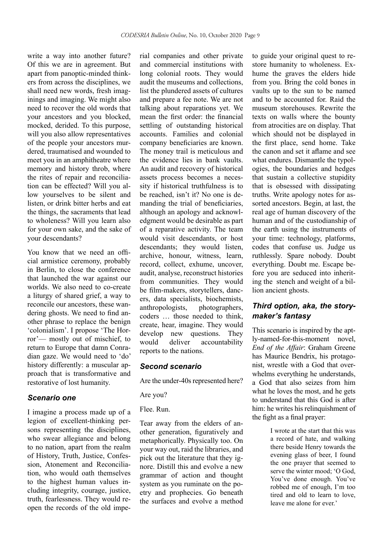write a way into another future? Of this we are in agreement. But apart from panoptic-minded thinkers from across the disciplines, we shall need new words, fresh imaginings and imaging. We might also need to recover the old words that your ancestors and you blocked, mocked, derided. To this purpose, will you also allow representatives of the people your ancestors murdered, traumatised and wounded to meet you in an amphitheatre where memory and history throb, where the rites of repair and reconciliation can be effected? Will you allow yourselves to be silent and listen, or drink bitter herbs and eat the things, the sacraments that lead to wholeness? Will you learn also for your own sake, and the sake of your descendants?

You know that we need an official armistice ceremony, probably in Berlin, to close the conference that launched the war against our worlds. We also need to co-create a liturgy of shared grief, a way to reconcile our ancestors, these wandering ghosts. We need to find another phrase to replace the benign 'colonialism'. I propose 'The Horror'— mostly out of mischief, to return to Europe that damn Conradian gaze. We would need to 'do' history differently: a muscular approach that is transformative and restorative of lost humanity.

#### *Scenario one*

I imagine a process made up of a legion of excellent-thinking persons representing the disciplines, who swear allegiance and belong to no nation, apart from the realm of History, Truth, Justice, Confession, Atonement and Reconciliation, who would oath themselves to the highest human values including integrity, courage, justice, truth, fearlessness. They would reopen the records of the old impe-

rial companies and other private and commercial institutions with long colonial roots. They would audit the museums and collections, list the plundered assets of cultures and prepare a fee note. We are not talking about reparations yet. We mean the first order: the financial settling of outstanding historical accounts. Families and colonial company beneficiaries are known. The money trail is meticulous and the evidence lies in bank vaults. An audit and recovery of historical assets process becomes a necessity if historical truthfulness is to be reached, isn't it? No one is demanding the trial of beneficiaries, although an apology and acknowledgment would be desirable as part of a reparative activity. The team would visit descendants, or host descendants; they would listen, archive, honour, witness, learn, record, collect, exhume, uncover, audit, analyse, reconstruct histories from communities. They would be film-makers, storytellers, dancers, data specialists, biochemists, anthropologists. coders those needed to think create, hear, imagine. They would develop new questions. They would deliver accountability reports to the nations.

#### *Second scenario*

Are the under-40s represented here?

Are you?

Flee. Run.

Tear away from the elders of another generation, figuratively and metaphorically. Physically too. On your way out, raid the libraries, and pick out the literature that they ignore. Distill this and evolve a new grammar of action and thought system as you ruminate on the poetry and prophecies. Go beneath the surfaces and evolve a method

to guide your original quest to restore humanity to wholeness. Exhume the graves the elders hide from you. Bring the cold bones in vaults up to the sun to be named and to be accounted for. Raid the museum storehouses. Rewrite the texts on walls where the bounty from atrocities are on display. That which should not be displayed in the first place, send home. Take the canon and set it aflame and see what endures. Dismantle the typologies, the boundaries and hedges that sustain a collective stupidity that is obsessed with dissipating truths. Write apology notes for assorted ancestors. Begin, at last, the real age of human discovery of the human and of the custodianship of the earth using the instruments of your time: technology, platforms, codes that confuse us. Judge us ruthlessly. Spare nobody. Doubt everything. Doubt me. Escape before you are seduced into inheriting the stench and weight of a billion ancient ghosts.

# *Third option, aka, the storymaker's fantasy*

This scenario is inspired by the aptly-named-for-this-moment novel, *End of the Affair*: Graham Greene has Maurice Bendrix, his protagonist, wrestle with a God that overwhelms everything he understands, a God that also seizes from him what he loves the most, and he gets to understand that this God is after him: he writes his relinquishment of the fight as a final prayer:

> I wrote at the start that this was a record of hate, and walking there beside Henry towards the evening glass of beer, I found the one prayer that seemed to serve the winter mood; 'O God, You've done enough. You've robbed me of enough, I'm too tired and old to learn to love, leave me alone for ever.'